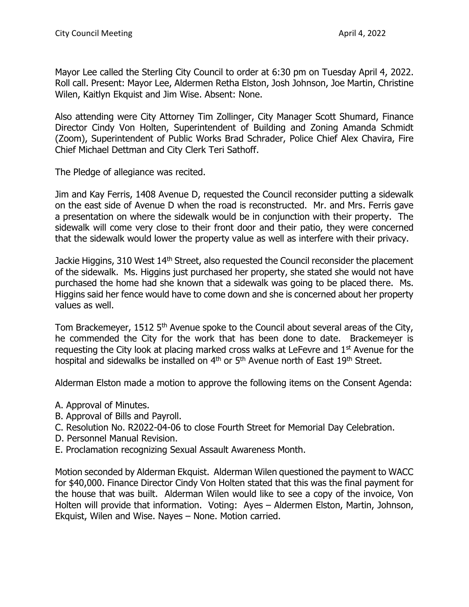Mayor Lee called the Sterling City Council to order at 6:30 pm on Tuesday April 4, 2022. Roll call. Present: Mayor Lee, Aldermen Retha Elston, Josh Johnson, Joe Martin, Christine Wilen, Kaitlyn Ekquist and Jim Wise. Absent: None.

Also attending were City Attorney Tim Zollinger, City Manager Scott Shumard, Finance Director Cindy Von Holten, Superintendent of Building and Zoning Amanda Schmidt (Zoom), Superintendent of Public Works Brad Schrader, Police Chief Alex Chavira, Fire Chief Michael Dettman and City Clerk Teri Sathoff.

The Pledge of allegiance was recited.

Jim and Kay Ferris, 1408 Avenue D, requested the Council reconsider putting a sidewalk on the east side of Avenue D when the road is reconstructed. Mr. and Mrs. Ferris gave a presentation on where the sidewalk would be in conjunction with their property. The sidewalk will come very close to their front door and their patio, they were concerned that the sidewalk would lower the property value as well as interfere with their privacy.

Jackie Higgins, 310 West 14<sup>th</sup> Street, also requested the Council reconsider the placement of the sidewalk. Ms. Higgins just purchased her property, she stated she would not have purchased the home had she known that a sidewalk was going to be placed there. Ms. Higgins said her fence would have to come down and she is concerned about her property values as well.

Tom Brackemeyer, 1512 5<sup>th</sup> Avenue spoke to the Council about several areas of the City, he commended the City for the work that has been done to date. Brackemeyer is requesting the City look at placing marked cross walks at LeFevre and  $1<sup>st</sup>$  Avenue for the hospital and sidewalks be installed on  $4<sup>th</sup>$  or  $5<sup>th</sup>$  Avenue north of East  $19<sup>th</sup>$  Street.

Alderman Elston made a motion to approve the following items on the Consent Agenda:

- A. Approval of Minutes.
- B. Approval of Bills and Payroll.
- C. Resolution No. R2022-04-06 to close Fourth Street for Memorial Day Celebration.
- D. Personnel Manual Revision.
- E. Proclamation recognizing Sexual Assault Awareness Month.

Motion seconded by Alderman Ekquist. Alderman Wilen questioned the payment to WACC for \$40,000. Finance Director Cindy Von Holten stated that this was the final payment for the house that was built. Alderman Wilen would like to see a copy of the invoice, Von Holten will provide that information. Voting: Ayes – Aldermen Elston, Martin, Johnson, Ekquist, Wilen and Wise. Nayes – None. Motion carried.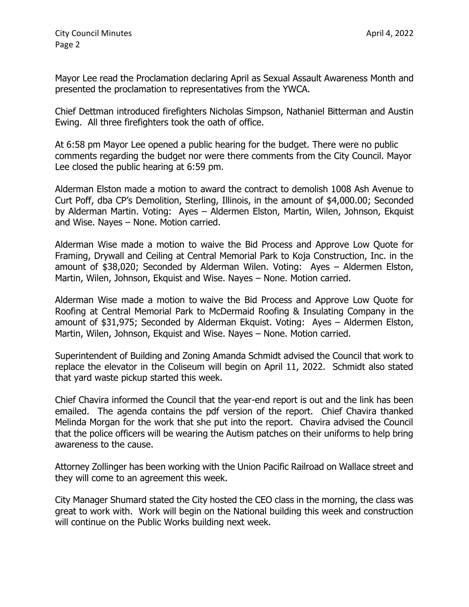Mayor Lee read the Proclamation declaring April as Sexual Assault Awareness Month and presented the proclamation to representatives from the YWCA.

Chief Dettman introduced firefighters Nicholas Simpson, Nathaniel Bitterman and Austin Ewing. All three firefighters took the oath of office.

At 6:58 pm Mayor Lee opened a public hearing for the budget. There were no public comments regarding the budget nor were there comments from the City Council. Mayor Lee closed the public hearing at 6:59 pm.

Alderman Elston made a motion to award the contract to demolish 1008 Ash Avenue to Curt Poff, dba CP's Demolition, Sterling, Illinois, in the amount of \$4,000.00; Seconded by Alderman Martin. Voting: Ayes – Aldermen Elston, Martin, Wilen, Johnson, Ekquist and Wise. Nayes – None. Motion carried.

Alderman Wise made a motion to waive the Bid Process and Approve Low Quote for Framing, Drywall and Ceiling at Central Memorial Park to Koja Construction, Inc. in the amount of \$38,020; Seconded by Alderman Wilen. Voting: Ayes – Aldermen Elston, Martin, Wilen, Johnson, Ekquist and Wise. Nayes – None. Motion carried.

Alderman Wise made a motion to waive the Bid Process and Approve Low Quote for Roofing at Central Memorial Park to McDermaid Roofing & Insulating Company in the amount of \$31,975; Seconded by Alderman Ekquist. Voting: Ayes – Aldermen Elston, Martin, Wilen, Johnson, Ekquist and Wise. Nayes – None. Motion carried.

Superintendent of Building and Zoning Amanda Schmidt advised the Council that work to replace the elevator in the Coliseum will begin on April 11, 2022. Schmidt also stated that yard waste pickup started this week.

Chief Chavira informed the Council that the year-end report is out and the link has been emailed. The agenda contains the pdf version of the report. Chief Chavira thanked Melinda Morgan for the work that she put into the report. Chavira advised the Council that the police officers will be wearing the Autism patches on their uniforms to help bring awareness to the cause.

Attorney Zollinger has been working with the Union Pacific Railroad on Wallace street and they will come to an agreement this week.

City Manager Shumard stated the City hosted the CEO class in the morning, the class was great to work with. Work will begin on the National building this week and construction will continue on the Public Works building next week.